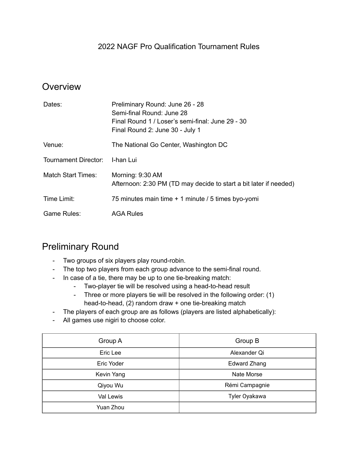#### 2022 NAGF Pro Qualification Tournament Rules

#### **Overview**

| Dates:                      | Preliminary Round: June 26 - 28<br>Semi-final Round: June 28<br>Final Round 1 / Loser's semi-final: June 29 - 30<br>Final Round 2: June 30 - July 1 |
|-----------------------------|-----------------------------------------------------------------------------------------------------------------------------------------------------|
| Venue:                      | The National Go Center, Washington DC                                                                                                               |
| <b>Tournament Director:</b> | I-han Lui                                                                                                                                           |
| <b>Match Start Times:</b>   | Morning: 9:30 AM<br>Afternoon: 2:30 PM (TD may decide to start a bit later if needed)                                                               |
| Time Limit:                 | 75 minutes main time + 1 minute / 5 times byo-yomi                                                                                                  |
| Game Rules:                 | <b>AGA Rules</b>                                                                                                                                    |

#### Preliminary Round

- Two groups of six players play round-robin.
- The top two players from each group advance to the semi-final round.
- In case of a tie, there may be up to one tie-breaking match:
	- Two-player tie will be resolved using a head-to-head result
	- Three or more players tie will be resolved in the following order: (1) head-to-head, (2) random draw + one tie-breaking match
- The players of each group are as follows (players are listed alphabetically):
- All games use nigiri to choose color.

| Group A    | Group B             |
|------------|---------------------|
| Eric Lee   | Alexander Qi        |
| Eric Yoder | <b>Edward Zhang</b> |
| Kevin Yang | Nate Morse          |
| Qiyou Wu   | Rémi Campagnie      |
| Val Lewis  | Tyler Oyakawa       |
| Yuan Zhou  |                     |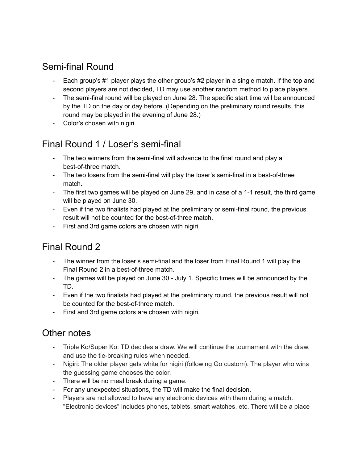# Semi-final Round

- Each group's #1 player plays the other group's #2 player in a single match. If the top and second players are not decided, TD may use another random method to place players.
- The semi-final round will be played on June 28. The specific start time will be announced by the TD on the day or day before. (Depending on the preliminary round results, this round may be played in the evening of June 28.)
- Color's chosen with nigiri.

## Final Round 1 / Loser's semi-final

- The two winners from the semi-final will advance to the final round and play a best-of-three match.
- The two losers from the semi-final will play the loser's semi-final in a best-of-three match.
- The first two games will be played on June 29, and in case of a 1-1 result, the third game will be played on June 30.
- Even if the two finalists had played at the preliminary or semi-final round, the previous result will not be counted for the best-of-three match.
- First and 3rd game colors are chosen with nigiri.

# Final Round 2

- The winner from the loser's semi-final and the loser from Final Round 1 will play the Final Round 2 in a best-of-three match.
- The games will be played on June 30 July 1. Specific times will be announced by the TD.
- Even if the two finalists had played at the preliminary round, the previous result will not be counted for the best-of-three match.
- First and 3rd game colors are chosen with nigiri.

#### Other notes

- Triple Ko/Super Ko: TD decides a draw. We will continue the tournament with the draw, and use the tie-breaking rules when needed.
- Nigiri: The older player gets white for nigiri (following Go custom). The player who wins the guessing game chooses the color.
- There will be no meal break during a game.
- For any unexpected situations, the TD will make the final decision.
- Players are not allowed to have any electronic devices with them during a match. "Electronic devices" includes phones, tablets, smart watches, etc. There will be a place